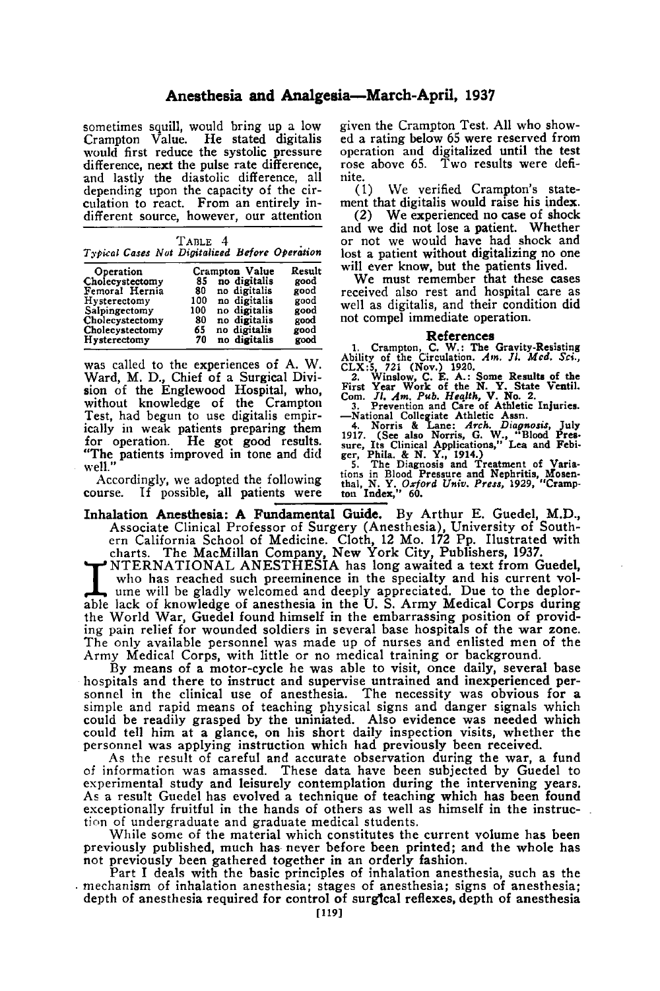## **Anesthesia and Analgesia-March-April, 1937**

sometimes squill, would bring up a low<br>Crampton Value. He stated digitalis would first reduce the systolic pressure difference, next the pulse rate difference, and lastly the diastolic difference, all depending upon the capacity of the circulation to react. From an entirely indifferent source, however, our attention

| TABLE 4                                        |  |  |
|------------------------------------------------|--|--|
| Typical Cases Not Digitalized Before Operation |  |  |

| Operation       |     | Crampton Value | Result |
|-----------------|-----|----------------|--------|
| Cholecystectomy | 85  | no digitalis   | good   |
| Femoral Hernia  | 80  | no digitalis   | good   |
| Hysterectomy    | 100 | no digitalis   | good   |
| Salpingectomy   | 100 | no digitalis   | good   |
| Cholecystectomy | 80  | no digitalis   | good   |
| Cholecystectomy | 65  | no digitalis   | good   |
| Hysterectomy    | 70  | no digitalis   | good   |

was called to the experiences of A. W. Ward, M. D., Chief of a Surgical Division of the Englewood Hospital, who, without knowledge of the Crampton Test, had begun to use digitalis empirically in weak patients preparing them for operation. He got good results. "The patients improved in tone and did well.

Accordingly, we adopted the following course. If possible, all patients were

given the Crampton Test. All who showed **a** rating below 65 were reserved from operation and digitalized until the test rose above 65. **TWO** results were definite.

(1) We verified Crampton's statement that digitalis would raise his index.

(2) We experienced no case of shock and we did not lose a patient. Whether or not we would have had shock and will ever know, but the patients lived.

We must remember that these cases<br>received also rest and hospital care as well as digitalis, and their condition did not compel immediate operation.

References<br>
1. Crampton, C. W.: The Gravity-Resisting<br>
Ability of the Circulation. Am. Jl. Med. Sci.,<br>
CLX:5, 721 (Nov.) 1920.<br>
2. Winslow, C. E. A.: Some Results of the<br>
First Year Work of the N. Y. State Ventil.

**Com.** *JI. Am. Pub. Health,* **<b>V. No. 2.** 3. Prevention and Care of Athletic Injuries. -National Collegiate Athletic Assn.

4. Norris & Lane: *Arch. Diagnosis*, July 1917. (See also Norris, G. W., "Blood Pres-<br>sure, Its Clinical Applications," Lea and Febi-

sure, its Climical Applications," Lea and Febi-<br>ger, Phila. & N. Y., 1914.)<br>5. The Diagnosis and Treatment of Varia-<br>tions in Blood Pressure and Nephritis, Mosen-<br>thal, N. Y. Orford Univ. Press, 1929, "Cramp-<br>ton Index," 6 **5:** 

Inhalation Anesthesia: A Fundamental **Guide.** By Arthur E. Guedel, M.D., Associate Clinical Professor of Surgery (Anesthesia), University of South- ern California School of Medicine. Cloth, **12** Mo. **172** Pp. Ilustrated with

charts. The MacMillan Company, New York City, Publishers, 1937.<br>NTERNATIONAL ANESTHESIA has long awaited a text from Guedel, ern California School of Medicine. Cloth, 12 Mo. 172 Pp. Ilustrated with charts. The MacMillan Company, New York City, Publishers, 1937.<br>NTERNATIONAL ANESTHESIA has long awaited a text from Guedel, who has reached such pre able lack of knowledge of anesthesia in the U. S. Army Medical Corps during the World War, Guedel found himself in the embarrassing position of providing pain relief for wounded soldiers in several base hospitals of the war zone. The only available personnel was made up of nurses and enlisted men of the Army Medical Corps, with little or no medical training or background.

By means of a motor-cycle he was able to visit, once daily, several base hospitals and there to instruct and supervise untrained and inexperienced per-sonnel in the clinical use of anesthesia. The necessity was obvious for a simple and rapid means of teaching physical signs and danger signals which could be readily grasped by the uniniated. Also evidence was needed which could tell him at a glance, on his short daily inspection visits, whether the personnel was applying instruction which had previously been received.

**As** the result of careful and accurate observation during the war, a fund of information was amassed. These data have been subjected by Guedel to experimental study and leisurely contemplation during the intervening years. As a result Guedel has evolved a technique of teaching which has been found exceptionally fruitful in the hands of others as well as himself in the instruction of undergraduate and graduate medical students.

While some of the material which constitutes the current volume has been previously published, much has never before been printed; and the whole has not previously been gathered together in an orderly fashion.

Part I deals with the basic principles of inhalation anesthesia, such as the mechanism of inhalation anesthesia; stages of anesthesia; signs of anesthesia; depth of anesthesia required for control of surglcal reflexes, depth of anesthesia